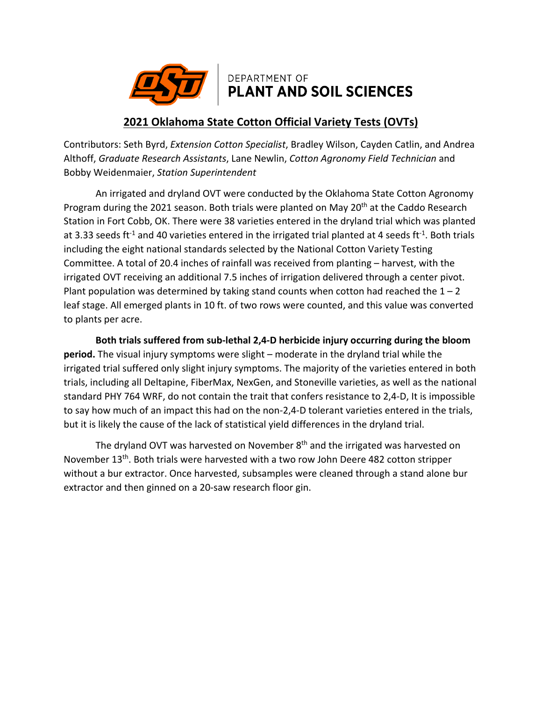

## DEPARTMENT OF **PLANT AND SOIL SCIENCES**

## **2021 Oklahoma State Cotton Official Variety Tests (OVTs)**

Contributors: Seth Byrd, *Extension Cotton Specialist*, Bradley Wilson, Cayden Catlin, and Andrea Althoff, *Graduate Research Assistants*, Lane Newlin, *Cotton Agronomy Field Technician* and Bobby Weidenmaier, *Station Superintendent*

An irrigated and dryland OVT were conducted by the Oklahoma State Cotton Agronomy Program during the 2021 season. Both trials were planted on May 20<sup>th</sup> at the Caddo Research Station in Fort Cobb, OK. There were 38 varieties entered in the dryland trial which was planted at 3.33 seeds ft<sup>-1</sup> and 40 varieties entered in the irrigated trial planted at 4 seeds ft<sup>-1</sup>. Both trials including the eight national standards selected by the National Cotton Variety Testing Committee. A total of 20.4 inches of rainfall was received from planting – harvest, with the irrigated OVT receiving an additional 7.5 inches of irrigation delivered through a center pivot. Plant population was determined by taking stand counts when cotton had reached the  $1 - 2$ leaf stage. All emerged plants in 10 ft. of two rows were counted, and this value was converted to plants per acre.

**Both trials suffered from sub-lethal 2,4-D herbicide injury occurring during the bloom period.** The visual injury symptoms were slight – moderate in the dryland trial while the irrigated trial suffered only slight injury symptoms. The majority of the varieties entered in both trials, including all Deltapine, FiberMax, NexGen, and Stoneville varieties, as well as the national standard PHY 764 WRF, do not contain the trait that confers resistance to 2,4-D, It is impossible to say how much of an impact this had on the non-2,4-D tolerant varieties entered in the trials, but it is likely the cause of the lack of statistical yield differences in the dryland trial.

The dryland OVT was harvested on November  $8<sup>th</sup>$  and the irrigated was harvested on November 13th. Both trials were harvested with a two row John Deere 482 cotton stripper without a bur extractor. Once harvested, subsamples were cleaned through a stand alone bur extractor and then ginned on a 20-saw research floor gin.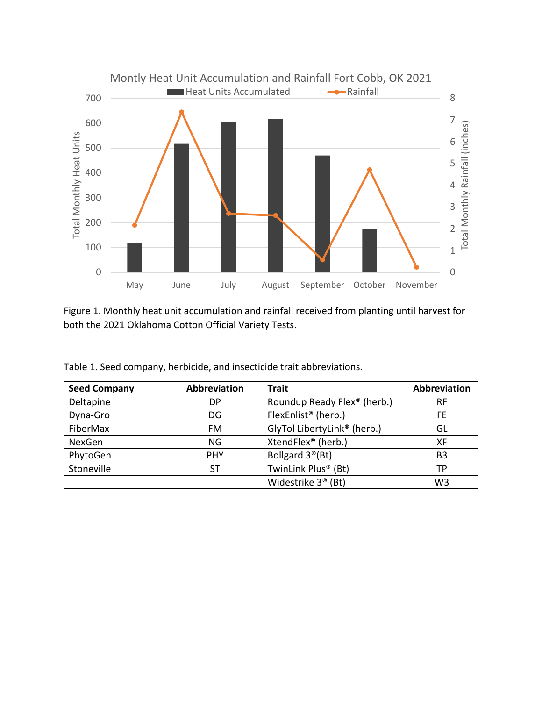

Figure 1. Monthly heat unit accumulation and rainfall received from planting until harvest for both the 2021 Oklahoma Cotton Official Variety Tests.

| <b>Seed Company</b> | <b>Abbreviation</b> | <b>Trait</b>                            | Abbreviation   |
|---------------------|---------------------|-----------------------------------------|----------------|
| Deltapine           | DP                  | Roundup Ready Flex <sup>®</sup> (herb.) | <b>RF</b>      |
| Dyna-Gro            | DG                  | FlexEnlist <sup>®</sup> (herb.)         | FE.            |
| FiberMax            | FM                  | GlyTol LibertyLink <sup>®</sup> (herb.) | GL             |
| NexGen              | ΝG                  | XtendFlex <sup>®</sup> (herb.)          | XF             |
| PhytoGen            | <b>PHY</b>          | Bollgard 3 <sup>®</sup> (Bt)            | B3             |
| Stoneville          | ST                  | TwinLink Plus <sup>®</sup> (Bt)         | TP             |
|                     |                     | Widestrike 3 <sup>®</sup> (Bt)          | W <sub>3</sub> |

Table 1. Seed company, herbicide, and insecticide trait abbreviations.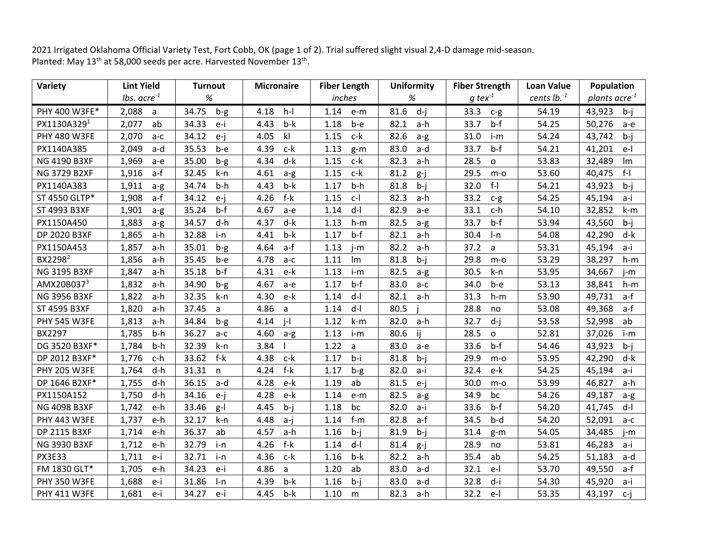2021 Irrigated Oklahoma Official Variety Test, Fort Cobb, OK (page 1 of 2). Trial suffered slight visual 2,4-D damage mid-season. Planted: May 13<sup>th</sup> at 58,000 seeds per acre. Harvested November 13<sup>th</sup>.

| Variety             | <b>Lint Yield</b>       | <b>Turnout</b> | <b>Micronaire</b> | <b>Fiber Length</b> | <b>Uniformity</b> | <b>Fiber Strength</b> | <b>Loan Value</b> | Population                |
|---------------------|-------------------------|----------------|-------------------|---------------------|-------------------|-----------------------|-------------------|---------------------------|
|                     | <i>lbs.</i> $acre^{-1}$ | $\%$           |                   | inches              | $\%$              | $q$ tex <sup>-1</sup> | cents $lb.^1$     | plants acre <sup>-1</sup> |
| PHY 400 W3FE*       | 2,088<br>a              | 34.75<br>$b-g$ | 4.18<br>$h-I$     | 1.14<br>e-m         | 81.6<br>$d-i$     | 33.3<br>$c-g$         | 54.19             | 43,923<br>$b-i$           |
| PX1130A3291         | 2,077<br>ab             | 34.33<br>e-i   | $b-k$<br>4.43     | 1.18<br>b-e         | 82.1<br>a-h       | $b-f$<br>33.7         | 54.25             | 50,276<br>$a-e$           |
| <b>PHY 480 W3FE</b> | 2,070<br>$a-c$          | 34.12<br>$e-i$ | kl<br>4.05        | c-k<br>1.15         | 82.6<br>$a-g$     | 31.0<br>i-m           | 54.24             | 43,742<br>$b-i$           |
| PX1140A385          | 2,049<br>a-d            | 35.53<br>b-e   | 4.39<br>c-k       | 1.13<br>$g-m$       | 83.0<br>a-d       | 33.7<br>$b-f$         | 54.21             | 41,201<br>e-l             |
| <b>NG 4190 B3XF</b> | 1,969<br>$a-e$          | 35.00<br>$b-g$ | 4.34<br>d-k       | 1.15<br>c-k         | 82.3<br>a-h       | 28.5<br>$\mathsf{o}$  | 53.83             | 32,489<br>Im              |
| <b>NG 3729 B2XF</b> | 1,916<br>a-f            | 32.45<br>k-n   | 4.61<br>$a-g$     | 1.15<br>$c-k$       | 81.2<br>g-j       | 29.5<br>$m-o$         | 53.60             | 40,475<br>$f-I$           |
| PX1140A383          | 1,911<br>$a-g$          | 34.74<br>$b-h$ | $b-k$<br>4.43     | $b-h$<br>1.17       | $b - i$<br>81.8   | $f-I$<br>32.0         | 54.21             | 43,923<br>$b-i$           |
| ST 4550 GLTP*       | 1,908<br>a-f            | 34.12<br>$e-i$ | 4.26<br>f-k       | 1.15<br>$c-1$       | 82.3<br>a-h       | 33.2<br>$c-g$         | 54.25             | 45,194<br>a-i             |
| ST 4993 B3XF        | 1,901<br>a-g            | 35.24<br>$b-f$ | 4.67<br>a-e       | $d-I$<br>1.14       | 82.9<br>a-e       | 33.1<br>c-h           | 54.10             | 32,852<br>k-m             |
| PX1150A450          | 1,883<br>a-g            | 34.57<br>d-h   | 4.37<br>d-k       | 1.13<br>$h-m$       | 82.5<br>a-g       | 33.7<br>$b-f$         | 53.94             | 43,560<br>$b-i$           |
| DP 2020 B3XF        | 1,865<br>a-h            | 32.88<br>i-n   | 4.41<br>$b-k$     | 1.17<br>$b-f$       | 82.1<br>a-h       | 30.4<br>$l-n$         | 54.08             | 42,290<br>d-k             |
| PX1150A453          | 1,857<br>a-h            | 35.01<br>$b-g$ | 4.64<br>a-f       | 1.13<br>$i-m$       | 82.2<br>a-h       | 37.2<br>a             | 53.31             | 45,194<br>a-i             |
| BX2298 <sup>2</sup> | 1,856<br>a-h            | 35.45<br>b-e   | 4.78<br>$a-c$     | 1.11<br>Im          | 81.8<br>$b-i$     | 29.8<br>$m-o$         | 53.29             | 38,297<br>$h-m$           |
| <b>NG 3195 B3XF</b> | 1,847<br>a-h            | 35.18<br>$b-f$ | 4.31<br>e-k       | 1.13<br>i-m         | 82.5<br>a-g       | 30.5<br>k-n           | 53.95             | 34,667<br>j-m             |
| AMX20B0373          | 1,832<br>a-h            | 34.90<br>$b-g$ | 4.67<br>a-e       | $b-f$<br>1.17       | 83.0<br>a-c       | 34.0<br>b-e           | 53.13             | 38,841<br>h-m             |
| <b>NG 3956 B3XF</b> | 1,822<br>a-h            | 32.35<br>k-n   | 4.30<br>e-k       | 1.14<br>$d-I$       | 82.1<br>a-h       | 31.3<br>$h-m$         | 53.90             | 49,731<br>a-f             |
| ST 4595 B3XF        | 1,820<br>a-h            | 37.45<br>a     | 4.86<br>a         | $d-I$<br>1.14       | 80.5              | 28.8<br>no            | 53.08             | 49,368<br>a-f             |
| <b>PHY 545 W3FE</b> | 1,813<br>a-h            | 34.84<br>$b-g$ | 4.14<br>$j-l$     | 1.12<br>k-m         | 82.0<br>a-h       | 32.7<br>$d-i$         | 53.58             | 52,998<br>ab              |
| BX2297              | 1,785<br>b-h            | 36.27<br>$a-c$ | 4.60<br>a-g       | 1.13<br>$i-m$       | 80.6<br>ij        | 28.5<br>$\mathsf{o}$  | 52.81             | 37,026<br>i-m             |
| DG 3520 B3XF*       | 1,784<br>b-h            | 32.39<br>k-n   | 3.84              | 1.22<br>a           | 83.0<br>a-e       | 33.6<br>$b-f$         | 54.46             | 43,923<br>$b-i$           |
| DP 2012 B3XF*       | 1,776<br>c-h            | 33.62<br>f-k   | 4.38<br>c-k       | 1.17<br>$b-i$       | 81.8<br>$b - j$   | 29.9<br>$m-o$         | 53.95             | 42,290<br>d-k             |
| <b>PHY 205 W3FE</b> | 1,764<br>d-h            | 31.31<br>n     | $f-k$<br>4.24     | 1.17<br>$b-g$       | 82.0<br>a-i       | 32.4<br>e-k           | 54.25             | 45,194<br>a-i             |
| DP 1646 B2XF*       | 1,755<br>d-h            | 36.15<br>a-d   | 4.28<br>e-k       | ab<br>1.19          | 81.5<br>$e - j$   | 30.0<br>$m-o$         | 53.99             | 46,827<br>a-h             |
| PX1150A152          | 1,750<br>d-h            | 34.16<br>$e-j$ | e-k<br>4.28       | 1.14<br>e-m         | 82.5<br>a-g       | 34.9<br>bc            | 54.26             | 49,187<br>a-g             |
| <b>NG 4098 B3XF</b> | 1,742<br>e-h            | 33.46<br>$g-I$ | 4.45<br>$b-i$     | 1.18<br>bc          | 82.0<br>a-i       | 33.6<br>$b-f$         | 54.20             | 41,745<br>d-l             |
| <b>PHY 443 W3FE</b> | 1,737<br>e-h            | 32.17<br>k-n   | 4.48<br>$a - j$   | 1.14<br>$f-m$       | 82.8<br>a-f       | 34.5<br>b-d           | 54.20             | 52,091<br>$a-c$           |
| DP 2115 B3XF        | 1,714<br>e-h            | 36.37<br>ab    | 4.57<br>a-h       | 1.16<br>$b-i$       | 81.9<br>$b-i$     | 31.4<br>$g-m$         | 54.05             | 34,485<br>$i-m$           |
| <b>NG 3930 B3XF</b> | 1,712<br>e-h            | 32.79<br>i-n   | f-k<br>4.26       | $d-1$<br>1.14       | 81.4<br>$g-j$     | 28.9<br>no            | 53.81             | 46,283<br>a-i             |
| <b>PX3E33</b>       | 1,711<br>e-i            | 32.71<br>i-n   | 4.36<br>c-k       | $b-k$<br>1.16       | 82.2<br>a-h       | 35.4<br>ab            | 54.25             | 51,183<br>a-d             |
| FM 1830 GLT*        | 1,705<br>e-h            | 34.23<br>e-i   | 4.86<br>a         | 1.20<br>ab          | 83.0<br>a-d       | 32.1<br>$e-$          | 53.70             | 49,550<br>a-f             |
| <b>PHY 350 W3FE</b> | 1,688<br>e-i            | 31.86<br>l-n   | 4.39<br>b-k       | 1.16<br>$b-i$       | 83.0<br>a-d       | 32.8<br>d-i           | 54.30             | 45,920<br>a-i             |
| <b>PHY 411 W3FE</b> | 1,681<br>e-i            | 34.27<br>e-i   | $b-k$<br>4.45     | 1.10<br>m           | 82.3<br>a-h       | 32.2<br>$e-I$         | 53.35             | 43,197<br>$c-i$           |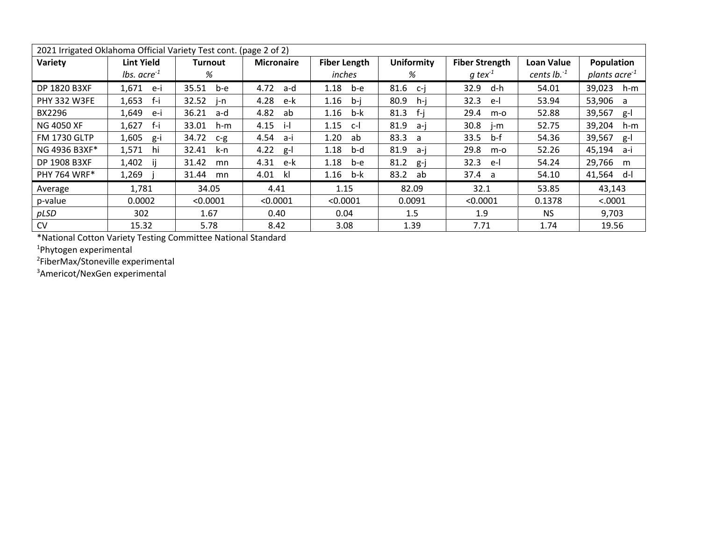| 2021 Irrigated Oklahoma Official Variety Test cont. (page 2 of 2) |                         |                |                   |                     |                   |                       |               |                           |
|-------------------------------------------------------------------|-------------------------|----------------|-------------------|---------------------|-------------------|-----------------------|---------------|---------------------------|
| Variety                                                           | <b>Lint Yield</b>       | <b>Turnout</b> | <b>Micronaire</b> | <b>Fiber Length</b> | <b>Uniformity</b> | <b>Fiber Strength</b> | Loan Value    | Population                |
|                                                                   | <i>lbs.</i> $acre^{-1}$ | %              |                   | inches              | %                 | $q$ tex <sup>-1</sup> | cents $lb.^1$ | plants acre <sup>-1</sup> |
| DP 1820 B3XF                                                      | 1,671<br>e-i            | 35.51<br>b-e   | 4.72<br>a-d       | 1.18<br>b-e         | 81.6<br>c-i       | 32.9<br>d-h           | 54.01         | 39,023<br>h-m             |
| <b>PHY 332 W3FE</b>                                               | 1,653<br>f-i            | 32.52<br>i-n   | 4.28<br>e-k       | 1.16<br>b-i         | 80.9<br>h-i       | 32.3<br>-e-l          | 53.94         | 53,906<br>a               |
| BX2296                                                            | 1,649<br>e-i            | 36.21<br>a-d   | 4.82<br>ab        | 1.16<br>b-k         | -f-i<br>81.3      | 29.4<br>m-o           | 52.88         | 39,567<br>g-l             |
| <b>NG 4050 XF</b>                                                 | 1,627<br>f-i            | 33.01<br>h-m   | 4.15<br>-i-l      | 1.15<br>$c-1$       | 81.9<br>a-i       | 30.8<br>j-m           | 52.75         | 39,204<br>h-m             |
| <b>FM 1730 GLTP</b>                                               | 1,605<br>g-i            | 34.72<br>$C-P$ | 4.54<br>a-i       | 1.20<br>ab          | 83.3<br>a         | 33.5<br>b-f           | 54.36         | 39,567<br>$g-I$           |
| NG 4936 B3XF*                                                     | 1,571<br>hi             | 32.41<br>k-n   | 4.22<br>$g-I$     | 1.18<br>b-d         | 81.9<br>-a-i      | 29.8<br>$m-o$         | 52.26         | 45,194<br>a-i             |
| DP 1908 B3XF                                                      | 1,402                   | 31.42<br>mn    | 4.31<br>e-k       | 1.18<br>b-e         | 81.2<br>g-j       | 32.3<br>-e-l          | 54.24         | 29,766<br>m               |
| <b>PHY 764 WRF*</b>                                               | 1,269                   | 31.44<br>mn    | 4.01<br>kl        | 1.16<br>b-k         | 83.2<br>ab        | 37.4 a                | 54.10         | 41,564<br>d-l             |
| Average                                                           | 1,781                   | 34.05          | 4.41              | 1.15                | 82.09             | 32.1                  | 53.85         | 43,143                    |
| p-value                                                           | 0.0002                  | < 0.0001       | < 0.0001          | < 0.0001            | 0.0091            | < 0.0001              | 0.1378        | < .0001                   |
| pLSD                                                              | 302                     | 1.67           | 0.40              | 0.04                | 1.5               | 1.9                   | NS.           | 9,703                     |
| <b>CV</b>                                                         | 15.32                   | 5.78           | 8.42              | 3.08                | 1.39              | 7.71                  | 1.74          | 19.56                     |

\*National Cotton Variety Testing Committee National Standard

<sup>1</sup>Phytogen experimental

<sup>2</sup>FiberMax/Stoneville experimental

<sup>3</sup>Americot/NexGen experimental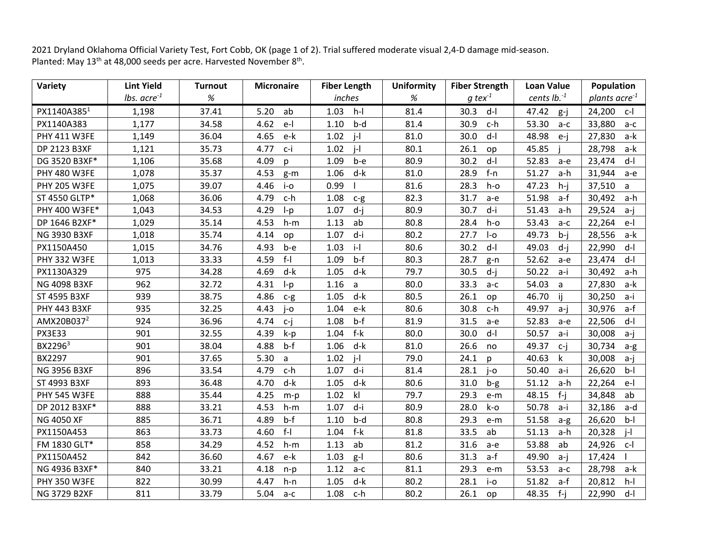2021 Dryland Oklahoma Official Variety Test, Fort Cobb, OK (page 1 of 2). Trial suffered moderate visual 2,4-D damage mid-season. Planted: May 13<sup>th</sup> at 48,000 seeds per acre. Harvested November 8<sup>th</sup>.

| Variety                | <b>Lint Yield</b>         | <b>Turnout</b> | <b>Micronaire</b> | <b>Fiber Length</b>     | <b>Uniformity</b> | <b>Fiber Strength</b> | <b>Loan Value</b> | Population             |
|------------------------|---------------------------|----------------|-------------------|-------------------------|-------------------|-----------------------|-------------------|------------------------|
|                        | $lbs.$ acre <sup>-1</sup> | $\%$           |                   | inches                  | $\%$              | $q$ tex <sup>-1</sup> | cents $lb.^1$     | plants acre $1$        |
| PX1140A3851            | 1,198                     | 37.41          | 5.20<br>ab        | 1.03<br>$h-I$           | 81.4              | 30.3<br>$d-I$         | 47.42<br>$g-j$    | 24,200<br>$c-1$        |
| PX1140A383             | 1,177                     | 34.58          | 4.62<br>$e-$      | 1.10<br>b-d             | 81.4              | 30.9<br>c-h           | 53.30<br>$a-c$    | 33,880<br>a-c          |
| PHY 411 W3FE           | 1,149                     | 36.04          | 4.65<br>e-k       | $i-1$<br>1.02           | 81.0              | 30.0<br>$d-I$         | 48.98<br>$e-j$    | 27,830<br>a-k          |
| DP 2123 B3XF           | 1,121                     | 35.73          | 4.77<br>c-i       | 1.02<br>$\vert - \vert$ | 80.1              | 26.1<br>op            | 45.85             | 28,798<br>a-k          |
| DG 3520 B3XF*          | 1,106                     | 35.68          | 4.09<br>p         | 1.09<br>b-e             | 80.9              | 30.2<br>$d-I$         | 52.83<br>a-e      | 23,474<br>$d-I$        |
| <b>PHY 480 W3FE</b>    | 1,078                     | 35.37          | 4.53<br>$g-m$     | 1.06<br>d-k             | 81.0              | 28.9<br>$f-n$         | 51.27<br>a-h      | 31,944<br>a-e          |
| <b>PHY 205 W3FE</b>    | 1,075                     | 39.07          | 4.46<br>$i$ -0    | 0.99                    | 81.6              | 28.3<br>$h$ -o        | 47.23<br>$h-i$    | 37,510<br>$\mathsf{a}$ |
| ST 4550 GLTP*          | 1,068                     | 36.06          | 4.79<br>c-h       | 1.08<br>$c-g$           | 82.3              | 31.7<br>a-e           | 51.98<br>a-f      | 30,492<br>a-h          |
| PHY 400 W3FE*          | 1,043                     | 34.53          | 4.29<br>$I-p$     | $d - j$<br>1.07         | 80.9              | 30.7<br>d-i           | 51.43<br>a-h      | 29,524<br>a-j          |
| DP 1646 B2XF*          | 1,029                     | 35.14          | 4.53<br>$h-m$     | 1.13<br>ab              | 80.8              | 28.4<br>h-o           | 53.43<br>$a-c$    | 22,264<br>e-l          |
| <b>NG 3930 B3XF</b>    | 1,018                     | 35.74          | 4.14<br>op        | 1.07<br>d-i             | 80.2              | 27.7<br>$I-o$         | 49.73<br>$b-i$    | 28,556<br>a-k          |
| PX1150A450             | 1,015                     | 34.76          | 4.93<br>b-e       | $i-I$<br>1.03           | 80.6              | 30.2<br>$d-I$         | 49.03<br>d-i      | 22,990<br>$d-1$        |
| <b>PHY 332 W3FE</b>    | 1,013                     | 33.33          | $f-I$<br>4.59     | $b-f$<br>1.09           | 80.3              | 28.7<br>g-n           | 52.62<br>a-e      | $d-I$<br>23,474        |
| PX1130A329             | 975                       | 34.28          | 4.69<br>d-k       | d-k<br>1.05             | 79.7              | 30.5<br>$d-i$         | 50.22<br>a-i      | 30,492<br>a-h          |
| NG 4098 B3XF           | 962                       | 32.72          | 4.31<br>$I-p$     | 1.16<br>a               | 80.0              | 33.3<br>$a-c$         | 54.03<br>a        | 27,830<br>a-k          |
| ST 4595 B3XF           | 939                       | 38.75          | 4.86<br>$c-g$     | 1.05<br>$d-k$           | 80.5              | 26.1<br>op            | 46.70<br>Ϊİ       | 30,250<br>a-i          |
| <b>PHY 443 B3XF</b>    | 935                       | 32.25          | 4.43<br>$i$ -o    | e-k<br>1.04             | 80.6              | 30.8<br>c-h           | 49.97<br>a-j      | 30,976<br>a-f          |
| AMX20B037 <sup>2</sup> | 924                       | 36.96          | 4.74<br>$c - j$   | $b-f$<br>1.08           | 81.9              | 31.5<br>a-e           | 52.83<br>a-e      | 22,506<br>$d-1$        |
| <b>PX3E33</b>          | 901                       | 32.55          | 4.39<br>k-p       | f-k<br>1.04             | 80.0              | 30.0<br>$d-I$         | 50.57<br>a-i      | 30,008<br>$a-j$        |
| BX2296 <sup>3</sup>    | 901                       | 38.04          | 4.88<br>$b-f$     | 1.06<br>d-k             | 81.0              | 26.6<br>no            | 49.37<br>c-i      | 30,734<br>a-g          |
| BX2297                 | 901                       | 37.65          | 5.30<br>a         | $\vert - \vert$<br>1.02 | 79.0              | 24.1<br>$\mathsf{D}$  | 40.63<br>k        | 30,008<br>a-j          |
| <b>NG 3956 B3XF</b>    | 896                       | 33.54          | 4.79<br>c-h       | d-i<br>1.07             | 81.4              | 28.1<br>j-o           | 50.40<br>a-i      | 26,620<br>$b-I$        |
| ST 4993 B3XF           | 893                       | 36.48          | d-k<br>4.70       | d-k<br>1.05             | 80.6              | 31.0<br>b-g           | 51.12<br>a-h      | 22,264<br>e-l          |
| <b>PHY 545 W3FE</b>    | 888                       | 35.44          | 4.25<br>$m-p$     | k<br>1.02               | 79.7              | 29.3<br>e-m           | 48.15<br>$f - j$  | 34,848<br>ab           |
| DP 2012 B3XF*          | 888                       | 33.21          | 4.53<br>$h-m$     | 1.07<br>d-i             | 80.9              | 28.0<br>k-o           | 50.78<br>a-i      | 32,186<br>a-d          |
| NG 4050 XF             | 885                       | 36.71          | 4.89<br>$b-f$     | 1.10<br>b-d             | 80.8              | 29.3<br>e-m           | 51.58<br>$a-g$    | 26,620<br>$b-I$        |
| PX1150A453             | 863                       | 33.73          | $f-I$<br>4.60     | $f-k$<br>1.04           | 81.8              | 33.5<br>ab            | 51.13<br>a-h      | 20,328<br>$i-1$        |
| FM 1830 GLT*           | 858                       | 34.29          | 4.52<br>$h-m$     | ab<br>1.13              | 81.2              | 31.6<br>a-e           | 53.88<br>ab       | 24,926<br>c-l          |
| PX1150A452             | 842                       | 36.60          | 4.67<br>e-k       | 1.03<br>$g-I$           | 80.6              | 31.3<br>a-f           | 49.90<br>a-j      | 17,424                 |
| NG 4936 B3XF*          | 840                       | 33.21          | 4.18<br>$n-p$     | 1.12<br>$a-c$           | 81.1              | 29.3<br>e-m           | 53.53<br>$a-c$    | 28,798<br>a-k          |
| <b>PHY 350 W3FE</b>    | 822                       | 30.99          | 4.47<br>$h-n$     | $d-k$<br>1.05           | 80.2              | 28.1<br>i-o           | 51.82<br>a-f      | 20,812<br>$h-I$        |
| <b>NG 3729 B2XF</b>    | 811                       | 33.79          | 5.04<br>$a-c$     | 1.08<br>c-h             | 80.2              | 26.1<br>op            | 48.35 f-j         | 22,990 d-l             |